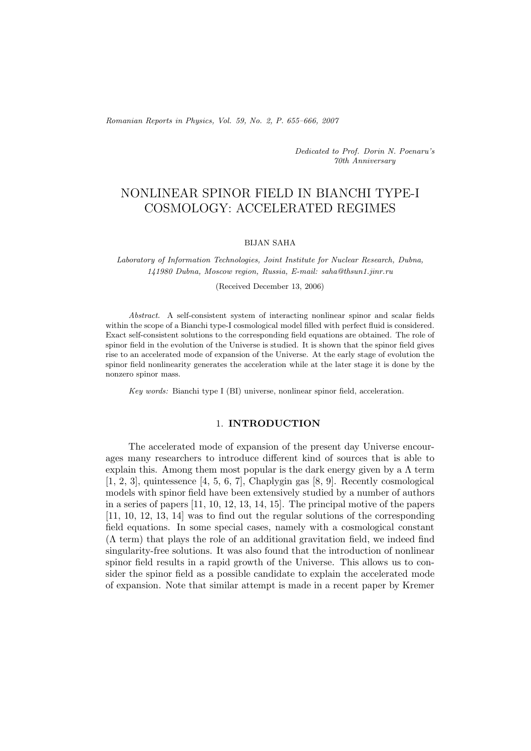*Romanian Reports in Physics, Vol. 59, No. 2, P. 655–666, 2007*

*Dedicated to Prof. Dorin N. Poenaru's 70th Anniversary*

# NONLINEAR SPINOR FIELD IN BIANCHI TYPE-I COSMOLOGY: ACCELERATED REGIMES

#### BIJAN SAHA

*Laboratory of Information Technologies, Joint Institute for Nuclear Research, Dubna, 141980 Dubna, Moscow region, Russia, E-mail: saha@thsun1.jinr.ru*

(Received December 13, 2006)

*Abstract.* A self-consistent system of interacting nonlinear spinor and scalar fields within the scope of a Bianchi type-I cosmological model filled with perfect fluid is considered. Exact self-consistent solutions to the corresponding field equations are obtained. The role of spinor field in the evolution of the Universe is studied. It is shown that the spinor field gives rise to an accelerated mode of expansion of the Universe. At the early stage of evolution the spinor field nonlinearity generates the acceleration while at the later stage it is done by the nonzero spinor mass.

*Key words:* Bianchi type I (BI) universe, nonlinear spinor field, acceleration.

#### 1. **INTRODUCTION**

The accelerated mode of expansion of the present day Universe encourages many researchers to introduce different kind of sources that is able to explain this. Among them most popular is the dark energy given by a  $\Lambda$  term [1, 2, 3], quintessence [4, 5, 6, 7], Chaplygin gas [8, 9]. Recently cosmological models with spinor field have been extensively studied by a number of authors in a series of papers [11, 10, 12, 13, 14, 15]. The principal motive of the papers [11, 10, 12, 13, 14] was to find out the regular solutions of the corresponding field equations. In some special cases, namely with a cosmological constant  $(\Lambda$  term) that plays the role of an additional gravitation field, we indeed find singularity-free solutions. It was also found that the introduction of nonlinear spinor field results in a rapid growth of the Universe. This allows us to consider the spinor field as a possible candidate to explain the accelerated mode of expansion. Note that similar attempt is made in a recent paper by Kremer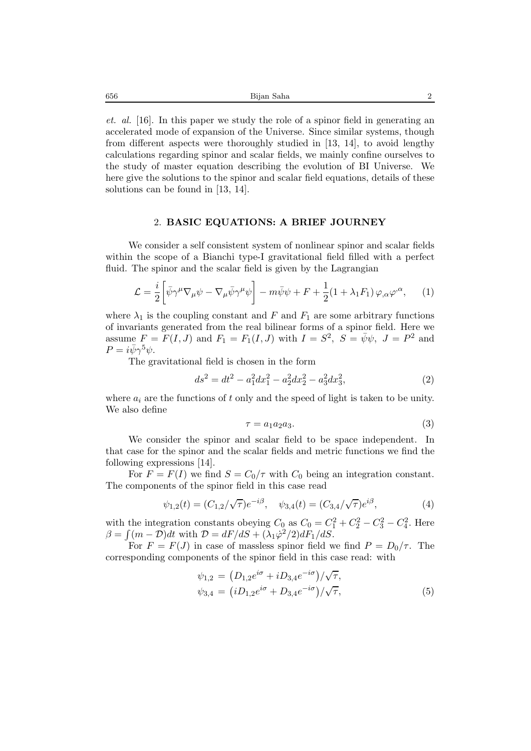*et. al.* [16]. In this paper we study the role of a spinor field in generating an accelerated mode of expansion of the Universe. Since similar systems, though from different aspects were thoroughly studied in [13, 14], to avoid lengthy calculations regarding spinor and scalar fields, we mainly confine ourselves to the study of master equation describing the evolution of BI Universe. We here give the solutions to the spinor and scalar field equations, details of these solutions can be found in [13, 14].

## 2. **BASIC EQUATIONS: A BRIEF JOURNEY**

We consider a self consistent system of nonlinear spinor and scalar fields within the scope of a Bianchi type-I gravitational field filled with a perfect fluid. The spinor and the scalar field is given by the Lagrangian

$$
\mathcal{L} = \frac{i}{2} \left[ \bar{\psi} \gamma^{\mu} \nabla_{\mu} \psi - \nabla_{\mu} \bar{\psi} \gamma^{\mu} \psi \right] - m \bar{\psi} \psi + F + \frac{1}{2} (1 + \lambda_1 F_1) \varphi_{,\alpha} \varphi^{\alpha}, \qquad (1)
$$

where  $\lambda_1$  is the coupling constant and F and  $F_1$  are some arbitrary functions of invariants generated from the real bilinear forms of a spinor field. Here we assume  $F = F(I, J)$  and  $F_1 = F_1(I, J)$  with  $I = S^2$ ,  $S = \bar{\psi}\psi$ ,  $J = P^2$  and  $P = i\bar{\psi}\gamma^5\psi.$ 

The gravitational field is chosen in the form

$$
ds^2 = dt^2 - a_1^2 dx_1^2 - a_2^2 dx_2^2 - a_3^2 dx_3^2,
$$
\n(2)

where  $a_i$  are the functions of t only and the speed of light is taken to be unity. We also define

$$
\tau = a_1 a_2 a_3. \tag{3}
$$

We consider the spinor and scalar field to be space independent. In that case for the spinor and the scalar fields and metric functions we find the following expressions [14].

For  $F = F(I)$  we find  $S = C_0/\tau$  with  $C_0$  being an integration constant. The components of the spinor field in this case read

$$
\psi_{1,2}(t) = (C_{1,2}/\sqrt{\tau})e^{-i\beta}, \quad \psi_{3,4}(t) = (C_{3,4}/\sqrt{\tau})e^{i\beta}, \tag{4}
$$

with the integration constants obeying  $C_0$  as  $C_0 = C_1^2 + C_2^2 - C_3^2 - C_4^2$ . Here  $\beta = \int (m - \mathcal{D}) dt$  with  $\mathcal{D} = dF/dS + (\lambda_1 \dot{\varphi}^2/2)dF_1/dS$ .

For  $F = F(J)$  in case of massless spinor field we find  $P = D_0/\tau$ . The corresponding components of the spinor field in this case read: with

$$
\psi_{1,2} = (D_{1,2}e^{i\sigma} + iD_{3,4}e^{-i\sigma})/\sqrt{\tau},
$$
  
\n
$$
\psi_{3,4} = (iD_{1,2}e^{i\sigma} + D_{3,4}e^{-i\sigma})/\sqrt{\tau},
$$
\n(5)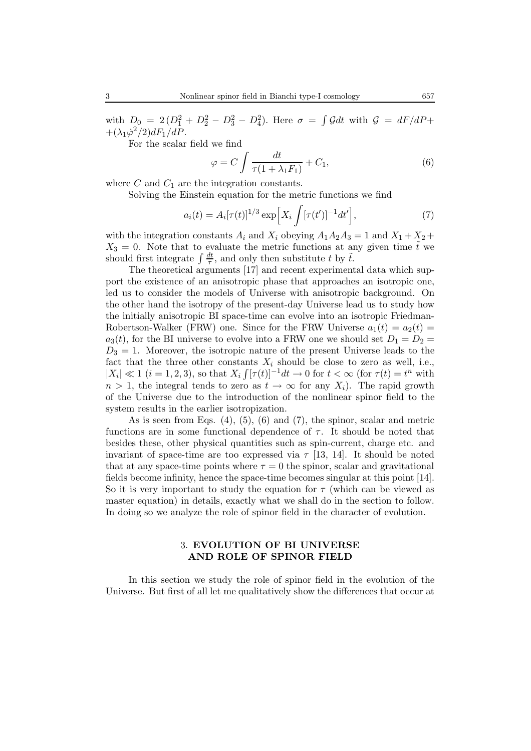with  $D_0 = 2(D_1^2 + D_2^2 - D_3^2 - D_4^2)$ . Here  $\sigma = \int \mathcal{G}dt$  with  $\mathcal{G} = dF/dP +$  $+(\lambda_1\dot{\varphi}^2/2)dF_1/dP$ .

For the scalar field we find

$$
\varphi = C \int \frac{dt}{\tau (1 + \lambda_1 F_1)} + C_1, \tag{6}
$$

where  $C$  and  $C_1$  are the integration constants.

Solving the Einstein equation for the metric functions we find

$$
a_i(t) = A_i[\tau(t)]^{1/3} \exp\Big[X_i \int [\tau(t')]^{-1} dt'\Big],\tag{7}
$$

with the integration constants  $A_i$  and  $X_i$  obeying  $A_1A_2A_3 = 1$  and  $X_1 + X_2 +$  $X_3 = 0$ . Note that to evaluate the metric functions at any given time  $\tilde{t}$  we should first integrate  $\int \frac{dt}{\tau}$ , and only then substitute t by  $\tilde{t}$ .

The theoretical arguments [17] and recent experimental data which support the existence of an anisotropic phase that approaches an isotropic one, led us to consider the models of Universe with anisotropic background. On the other hand the isotropy of the present-day Universe lead us to study how the initially anisotropic BI space-time can evolve into an isotropic Friedman-Robertson-Walker (FRW) one. Since for the FRW Universe  $a_1(t) = a_2(t)$  $a_3(t)$ , for the BI universe to evolve into a FRW one we should set  $D_1 = D_2 =$  $D_3 = 1$ . Moreover, the isotropic nature of the present Universe leads to the fact that the three other constants  $X_i$  should be close to zero as well, i.e.,  $|X_i| \ll 1$  (i = 1, 2, 3), so that  $X_i \int [\tau(t)]^{-1} dt \to 0$  for  $t < \infty$  (for  $\tau(t) = t^n$  with  $n > 1$ , the integral tends to zero as  $t \to \infty$  for any  $X_i$ ). The rapid growth of the Universe due to the introduction of the nonlinear spinor field to the system results in the earlier isotropization.

As is seen from Eqs.  $(4)$ ,  $(5)$ ,  $(6)$  and  $(7)$ , the spinor, scalar and metric functions are in some functional dependence of  $\tau$ . It should be noted that besides these, other physical quantities such as spin-current, charge etc. and invariant of space-time are too expressed via  $\tau$  [13, 14]. It should be noted that at any space-time points where  $\tau = 0$  the spinor, scalar and gravitational fields become infinity, hence the space-time becomes singular at this point [14]. So it is very important to study the equation for  $\tau$  (which can be viewed as master equation) in details, exactly what we shall do in the section to follow. In doing so we analyze the role of spinor field in the character of evolution.

# 3. **EVOLUTION OF BI UNIVERSE AND ROLE OF SPINOR FIELD**

In this section we study the role of spinor field in the evolution of the Universe. But first of all let me qualitatively show the differences that occur at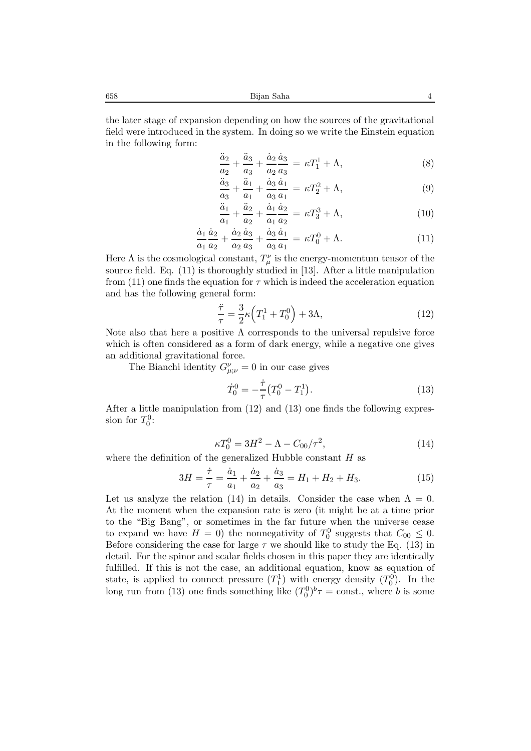658 Bijan Saha 4

the later stage of expansion depending on how the sources of the gravitational field were introduced in the system. In doing so we write the Einstein equation in the following form:

$$
\frac{\ddot{a}_2}{a_2} + \frac{\ddot{a}_3}{a_3} + \frac{\dot{a}_2}{a_2} \frac{\dot{a}_3}{a_3} = \kappa T_1^1 + \Lambda,\tag{8}
$$

$$
\frac{\ddot{a}_3}{a_3} + \frac{\ddot{a}_1}{a_1} + \frac{\dot{a}_3}{a_3} \frac{\dot{a}_1}{a_1} = \kappa T_2^2 + \Lambda,\tag{9}
$$

$$
\frac{\ddot{a}_1}{a_1} + \frac{\ddot{a}_2}{a_2} + \frac{\dot{a}_1}{a_1} \frac{\dot{a}_2}{a_2} = \kappa T_3^3 + \Lambda,\tag{10}
$$

$$
\frac{\dot{a}_1}{a_1}\frac{\dot{a}_2}{a_2} + \frac{\dot{a}_2}{a_2}\frac{\dot{a}_3}{a_3} + \frac{\dot{a}_3}{a_3}\frac{\dot{a}_1}{a_1} = \kappa T_0^0 + \Lambda.
$$
 (11)

Here  $\Lambda$  is the cosmological constant,  $T_{\mu}^{\nu}$  is the energy-momentum tensor of the source field. Eq. (11) is thoroughly studied in [13]. After a little manipulation from (11) one finds the equation for  $\tau$  which is indeed the acceleration equation and has the following general form:

$$
\frac{\ddot{\tau}}{\tau} = \frac{3}{2}\kappa \left( T_1^1 + T_0^0 \right) + 3\Lambda,\tag{12}
$$

Note also that here a positive  $\Lambda$  corresponds to the universal repulsive force which is often considered as a form of dark energy, while a negative one gives an additional gravitational force.

The Bianchi identity  $G^{\nu}_{\mu;\nu} = 0$  in our case gives

$$
\dot{T}_0^0 = -\frac{\dot{\tau}}{\tau} (T_0^0 - T_1^1). \tag{13}
$$

After a little manipulation from (12) and (13) one finds the following expression for  $T_0^0$ :

$$
\kappa T_0^0 = 3H^2 - \Lambda - C_{00}/\tau^2, \tag{14}
$$

where the definition of the generalized Hubble constant  $H$  as

$$
3H = \frac{\dot{\tau}}{\tau} = \frac{\dot{a}_1}{a_1} + \frac{\dot{a}_2}{a_2} + \frac{\dot{a}_3}{a_3} = H_1 + H_2 + H_3.
$$
 (15)

Let us analyze the relation (14) in details. Consider the case when  $\Lambda = 0$ . At the moment when the expansion rate is zero (it might be at a time prior to the "Big Bang", or sometimes in the far future when the universe cease to expand we have  $H = 0$ ) the nonnegativity of  $T_0^0$  suggests that  $C_{00} \leq 0$ . Before considering the case for large  $\tau$  we should like to study the Eq. (13) in detail. For the spinor and scalar fields chosen in this paper they are identically fulfilled. If this is not the case, an additional equation, know as equation of state, is applied to connect pressure  $(T_1^1)$  with energy density  $(T_0^0)$ . In the long run from (13) one finds something like  $(T_0^0)^b \tau = \text{const.}$ , where b is some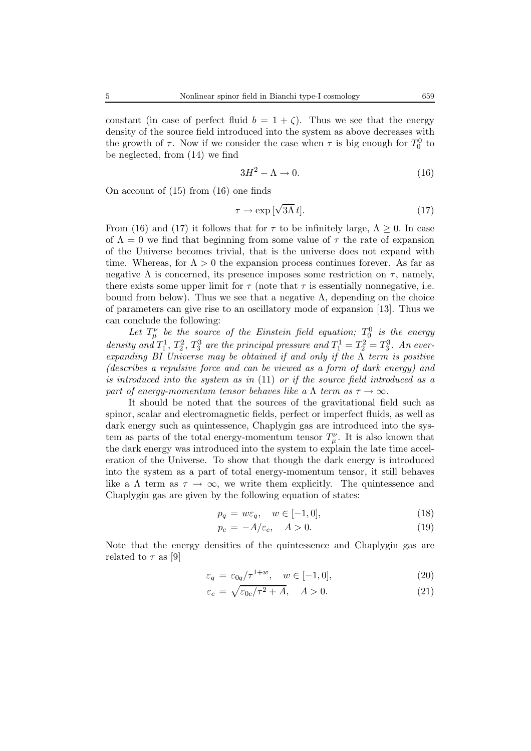constant (in case of perfect fluid  $b = 1 + \zeta$ ). Thus we see that the energy density of the source field introduced into the system as above decreases with the growth of  $\tau$ . Now if we consider the case when  $\tau$  is big enough for  $T_0^0$  to be neglected, from (14) we find

$$
3H^2 - \Lambda \to 0. \tag{16}
$$

On account of (15) from (16) one finds

$$
\tau \to \exp\left[\sqrt{3\Lambda} \, t\right].\tag{17}
$$

From (16) and (17) it follows that for  $\tau$  to be infinitely large,  $\Lambda \geq 0$ . In case of  $\Lambda = 0$  we find that beginning from some value of  $\tau$  the rate of expansion of the Universe becomes trivial, that is the universe does not expand with time. Whereas, for  $\Lambda > 0$  the expansion process continues forever. As far as negative  $\Lambda$  is concerned, its presence imposes some restriction on  $\tau$ , namely, there exists some upper limit for  $\tau$  (note that  $\tau$  is essentially nonnegative, i.e. bound from below). Thus we see that a negative  $\Lambda$ , depending on the choice of parameters can give rise to an oscillatory mode of expansion [13]. Thus we can conclude the following:

Let  $T^{\nu}_{\mu}$  be the source of the Einstein field equation;  $T^0_0$  is the energy density and  $T_1^1$ ,  $T_2^2$ ,  $T_3^3$  are the principal pressure and  $T_1^1 = T_2^2 = T_3^3$ . An ever*expanding BI Universe may be obtained if and only if the* Λ *term is positive (describes a repulsive force and can be viewed as a form of dark energy) and is introduced into the system as in* (11) *or if the source field introduced as a part of energy-momentum tensor behaves like a*  $\Lambda$  *term as*  $\tau \to \infty$ *.* 

It should be noted that the sources of the gravitational field such as spinor, scalar and electromagnetic fields, perfect or imperfect fluids, as well as dark energy such as quintessence, Chaplygin gas are introduced into the system as parts of the total energy-momentum tensor  $T^{\nu}_{\mu}$ . It is also known that the dark energy was introduced into the system to explain the late time acceleration of the Universe. To show that though the dark energy is introduced into the system as a part of total energy-momentum tensor, it still behaves like a  $\Lambda$  term as  $\tau \to \infty$ , we write them explicitly. The quintessence and Chaplygin gas are given by the following equation of states:

$$
p_q = w\varepsilon_q, \quad w \in [-1, 0], \tag{18}
$$

$$
p_c = -A/\varepsilon_c, \quad A > 0. \tag{19}
$$

Note that the energy densities of the quintessence and Chaplygin gas are related to  $\tau$  as [9]

$$
\varepsilon_q = \varepsilon_{0q}/\tau^{1+w}, \quad w \in [-1, 0], \tag{20}
$$

$$
\varepsilon_c = \sqrt{\varepsilon_{0c}/\tau^2 + A}, \quad A > 0. \tag{21}
$$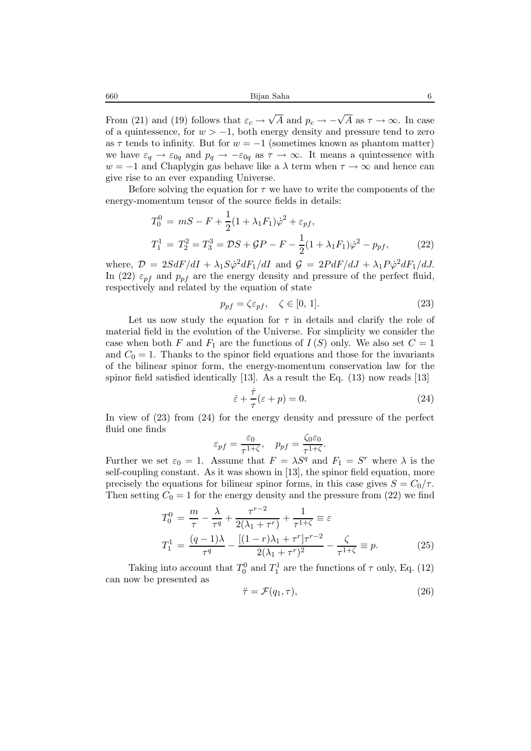From (21) and (19) follows that  $\varepsilon_c \to \sqrt{A}$  and  $p_c \to -\sqrt{A}$  as  $\tau \to \infty$ . In case of a quintessence, for  $w > -1$ , both energy density and pressure tend to zero as  $\tau$  tends to infinity. But for  $w = -1$  (sometimes known as phantom matter) we have  $\varepsilon_q \to \varepsilon_{0q}$  and  $p_q \to -\varepsilon_{0q}$  as  $\tau \to \infty$ . It means a quintessence with w = −1 and Chaplygin gas behave like a  $\lambda$  term when  $\tau \to \infty$  and hence can give rise to an ever expanding Universe.

Before solving the equation for  $\tau$  we have to write the components of the energy-momentum tensor of the source fields in details:

$$
T_0^0 = mS - F + \frac{1}{2}(1 + \lambda_1 F_1)\dot{\varphi}^2 + \varepsilon_{pf},
$$
  
\n
$$
T_1^1 = T_2^2 = T_3^3 = DS + GP - F - \frac{1}{2}(1 + \lambda_1 F_1)\dot{\varphi}^2 - p_{pf},
$$
\n(22)

where,  $\mathcal{D} = 2S dF/dI + \lambda_1 S \dot{\varphi}^2 dF_1/dI$  and  $\mathcal{G} = 2P dF/dJ + \lambda_1 P \dot{\varphi}^2 dF_1/dJ$ . In (22)  $\varepsilon_{pf}$  and  $p_{pf}$  are the energy density and pressure of the perfect fluid, respectively and related by the equation of state

$$
p_{pf} = \zeta \varepsilon_{pf}, \quad \zeta \in [0, 1]. \tag{23}
$$

Let us now study the equation for  $\tau$  in details and clarify the role of material field in the evolution of the Universe. For simplicity we consider the case when both F and  $F_1$  are the functions of  $I(S)$  only. We also set  $C = 1$ and  $C_0 = 1$ . Thanks to the spinor field equations and those for the invariants of the bilinear spinor form, the energy-momentum conservation law for the spinor field satisfied identically [13]. As a result the Eq. (13) now reads [13]

$$
\dot{\varepsilon} + \frac{\dot{\tau}}{\tau} (\varepsilon + p) = 0. \tag{24}
$$

In view of (23) from (24) for the energy density and pressure of the perfect fluid one finds

$$
\varepsilon_{pf} = \frac{\varepsilon_0}{\tau^{1+\zeta}}, \quad p_{pf} = \frac{\zeta_0 \varepsilon_0}{\tau^{1+\zeta}}.
$$

Further we set  $\varepsilon_0 = 1$ . Assume that  $F = \lambda S^q$  and  $F_1 = S^r$  where  $\lambda$  is the self-coupling constant. As it was shown in [13], the spinor field equation, more precisely the equations for bilinear spinor forms, in this case gives  $S = C_0/\tau$ . Then setting  $C_0 = 1$  for the energy density and the pressure from (22) we find

$$
T_0^0 = \frac{m}{\tau} - \frac{\lambda}{\tau^q} + \frac{\tau^{r-2}}{2(\lambda_1 + \tau^r)} + \frac{1}{\tau^{1+\zeta}} \equiv \varepsilon
$$
  

$$
T_1^1 = \frac{(q-1)\lambda}{\tau^q} - \frac{[(1-\tau)\lambda_1 + \tau^r]\tau^{r-2}}{2(\lambda_1 + \tau^r)^2} - \frac{\zeta}{\tau^{1+\zeta}} \equiv p.
$$
 (25)

Taking into account that  $T_0^0$  and  $T_1^1$  are the functions of  $\tau$  only, Eq. (12) can now be presented as

$$
\ddot{\tau} = \mathcal{F}(q_1, \tau), \tag{26}
$$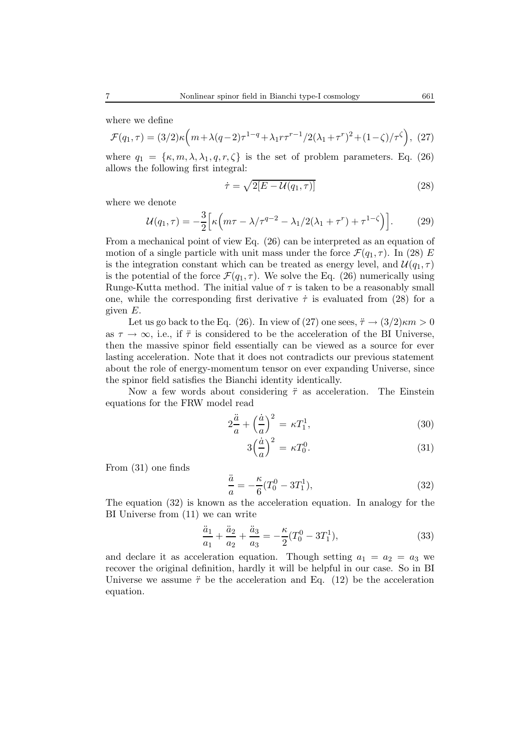where we define

$$
\mathcal{F}(q_1, \tau) = (3/2)\kappa \left( m + \lambda (q - 2)\tau^{1 - q} + \lambda_1 r \tau^{r - 1} / 2(\lambda_1 + \tau^r)^2 + (1 - \zeta) / \tau^{\zeta} \right), (27)
$$

where  $q_1 = {\kappa, m, \lambda, \lambda_1, q, r, \zeta}$  is the set of problem parameters. Eq. (26) allows the following first integral:

$$
\dot{\tau} = \sqrt{2[E - \mathcal{U}(q_1, \tau)]} \tag{28}
$$

where we denote

$$
\mathcal{U}(q_1,\tau) = -\frac{3}{2} \Big[ \kappa \Big( m\tau - \lambda/\tau^{q-2} - \lambda_1/2(\lambda_1 + \tau^r) + \tau^{1-\zeta} \Big) \Big]. \tag{29}
$$

From a mechanical point of view Eq. (26) can be interpreted as an equation of motion of a single particle with unit mass under the force  $\mathcal{F}(q_1, \tau)$ . In (28) E is the integration constant which can be treated as energy level, and  $\mathcal{U}(q_1, \tau)$ is the potential of the force  $\mathcal{F}(q_1, \tau)$ . We solve the Eq. (26) numerically using Runge-Kutta method. The initial value of  $\tau$  is taken to be a reasonably small one, while the corresponding first derivative  $\dot{\tau}$  is evaluated from (28) for a given E.

Let us go back to the Eq. (26). In view of (27) one sees,  $\ddot{\tau} \rightarrow (3/2)\kappa m > 0$ as  $\tau \to \infty$ , i.e., if  $\ddot{\tau}$  is considered to be the acceleration of the BI Universe, then the massive spinor field essentially can be viewed as a source for ever lasting acceleration. Note that it does not contradicts our previous statement about the role of energy-momentum tensor on ever expanding Universe, since the spinor field satisfies the Bianchi identity identically.

Now a few words about considering  $\ddot{\tau}$  as acceleration. The Einstein equations for the FRW model read

$$
2\frac{\ddot{a}}{a} + \left(\frac{\dot{a}}{a}\right)^2 = \kappa T_1^1,\tag{30}
$$

$$
3\left(\frac{\dot{a}}{a}\right)^2 = \kappa T_0^0. \tag{31}
$$

From (31) one finds

$$
\frac{\ddot{a}}{a} = -\frac{\kappa}{6}(T_0^0 - 3T_1^1),\tag{32}
$$

The equation (32) is known as the acceleration equation. In analogy for the BI Universe from (11) we can write

$$
\frac{\ddot{a}_1}{a_1} + \frac{\ddot{a}_2}{a_2} + \frac{\ddot{a}_3}{a_3} = -\frac{\kappa}{2} (T_0^0 - 3T_1^1),\tag{33}
$$

and declare it as acceleration equation. Though setting  $a_1 = a_2 = a_3$  we recover the original definition, hardly it will be helpful in our case. So in BI Universe we assume  $\ddot{\tau}$  be the acceleration and Eq. (12) be the acceleration equation.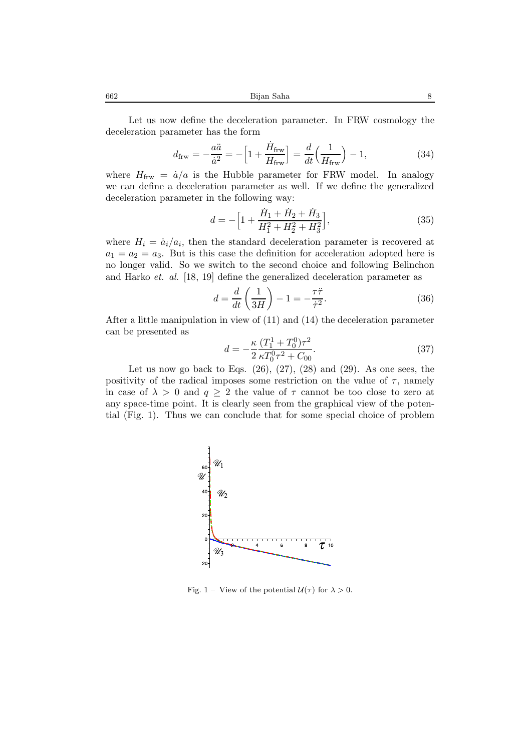662 Bijan Saha 8

Let us now define the deceleration parameter. In FRW cosmology the deceleration parameter has the form

$$
d_{\text{frw}} = -\frac{a\ddot{a}}{\dot{a}^2} = -\left[1 + \frac{\dot{H}_{\text{frw}}}{H_{\text{frw}}}\right] = \frac{d}{dt}\left(\frac{1}{H_{\text{frw}}}\right) - 1,\tag{34}
$$

where  $H_{\text{frw}} = \dot{a}/a$  is the Hubble parameter for FRW model. In analogy we can define a deceleration parameter as well. If we define the generalized deceleration parameter in the following way:

$$
d = -\left[1 + \frac{\dot{H}_1 + \dot{H}_2 + \dot{H}_3}{H_1^2 + H_2^2 + H_3^2}\right],\tag{35}
$$

where  $H_i = \dot{a}_i/a_i$ , then the standard deceleration parameter is recovered at  $a_1 = a_2 = a_3$ . But is this case the definition for acceleration adopted here is no longer valid. So we switch to the second choice and following Belinchon and Harko *et. al.* [18, 19] define the generalized deceleration parameter as

$$
d = \frac{d}{dt} \left( \frac{1}{3H} \right) - 1 = -\frac{\tau \ddot{\tau}}{\dot{\tau}^2}.
$$
 (36)

After a little manipulation in view of (11) and (14) the deceleration parameter can be presented as

$$
d = -\frac{\kappa}{2} \frac{(T_1^1 + T_0^0)\tau^2}{\kappa T_0^0 \tau^2 + C_{00}}.
$$
\n(37)

Let us now go back to Eqs.  $(26)$ ,  $(27)$ ,  $(28)$  and  $(29)$ . As one sees, the positivity of the radical imposes some restriction on the value of  $\tau$ , namely in case of  $\lambda > 0$  and  $q \geq 2$  the value of  $\tau$  cannot be too close to zero at any space-time point. It is clearly seen from the graphical view of the potential (Fig. 1). Thus we can conclude that for some special choice of problem



Fig. 1 – View of the potential  $\mathcal{U}(\tau)$  for  $\lambda > 0$ .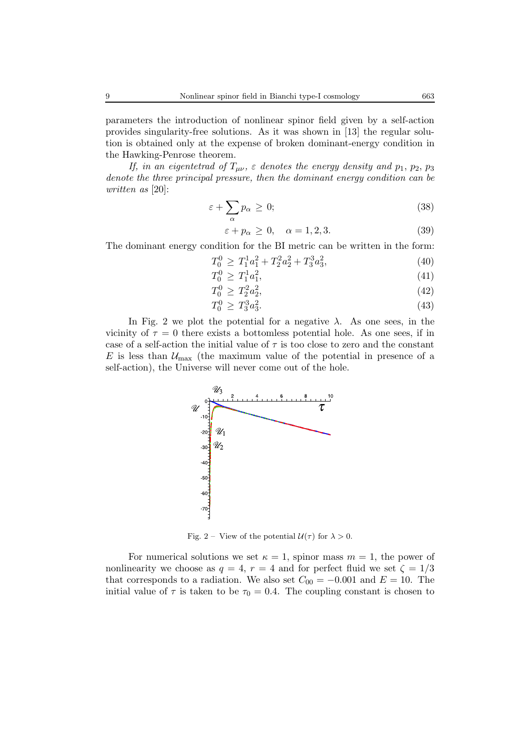parameters the introduction of nonlinear spinor field given by a self-action provides singularity-free solutions. As it was shown in [13] the regular solution is obtained only at the expense of broken dominant-energy condition in the Hawking-Penrose theorem.

*If, in an eigentetrad of*  $T_{\mu\nu}$ ,  $\varepsilon$  *denotes the energy density and*  $p_1$ ,  $p_2$ ,  $p_3$ *denote the three principal pressure, then the dominant energy condition can be written as* [20]:

$$
\varepsilon + \sum_{\alpha} p_{\alpha} \ge 0; \tag{38}
$$

$$
\varepsilon + p_{\alpha} \ge 0, \quad \alpha = 1, 2, 3. \tag{39}
$$

The dominant energy condition for the BI metric can be written in the form:

$$
T_0^0 \ge T_1^1 a_1^2 + T_2^2 a_2^2 + T_3^3 a_3^2,\tag{40}
$$

$$
T_0^0 \ge T_1^1 a_1^2,\tag{41}
$$

$$
T_0^0 \ge T_2^2 a_2^2,\tag{42}
$$

$$
T_0^0 \ge T_3^3 a_3^2. \tag{43}
$$

In Fig. 2 we plot the potential for a negative  $\lambda$ . As one sees, in the vicinity of  $\tau = 0$  there exists a bottomless potential hole. As one sees, if in case of a self-action the initial value of  $\tau$  is too close to zero and the constant E is less than  $\mathcal{U}_{\text{max}}$  (the maximum value of the potential in presence of a self-action), the Universe will never come out of the hole.



Fig. 2 – View of the potential  $\mathcal{U}(\tau)$  for  $\lambda > 0$ .

For numerical solutions we set  $\kappa = 1$ , spinor mass  $m = 1$ , the power of nonlinearity we choose as  $q = 4$ ,  $r = 4$  and for perfect fluid we set  $\zeta = 1/3$ that corresponds to a radiation. We also set  $C_{00} = -0.001$  and  $E = 10$ . The initial value of  $\tau$  is taken to be  $\tau_0 = 0.4$ . The coupling constant is chosen to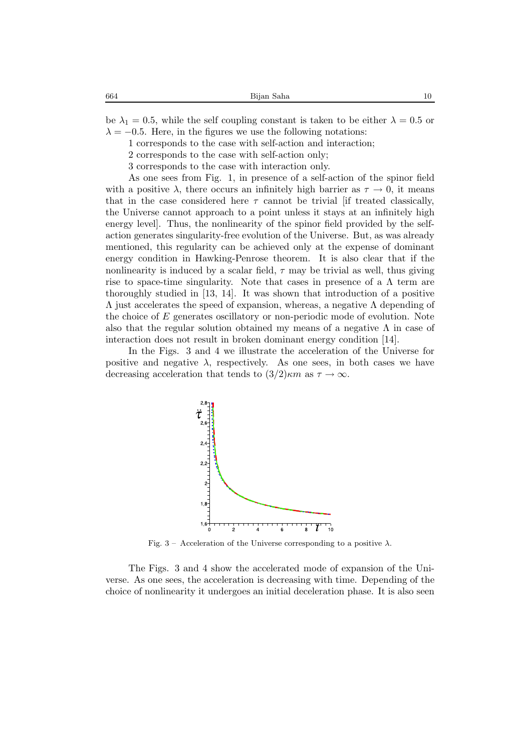be  $\lambda_1 = 0.5$ , while the self coupling constant is taken to be either  $\lambda = 0.5$  or  $\lambda = -0.5$ . Here, in the figures we use the following notations:

- 1 corresponds to the case with self-action and interaction;
- 2 corresponds to the case with self-action only;
- 3 corresponds to the case with interaction only.

As one sees from Fig. 1, in presence of a self-action of the spinor field with a positive  $\lambda$ , there occurs an infinitely high barrier as  $\tau \to 0$ , it means that in the case considered here  $\tau$  cannot be trivial [if treated classically, the Universe cannot approach to a point unless it stays at an infinitely high energy level]. Thus, the nonlinearity of the spinor field provided by the selfaction generates singularity-free evolution of the Universe. But, as was already mentioned, this regularity can be achieved only at the expense of dominant energy condition in Hawking-Penrose theorem. It is also clear that if the nonlinearity is induced by a scalar field,  $\tau$  may be trivial as well, thus giving rise to space-time singularity. Note that cases in presence of a  $\Lambda$  term are thoroughly studied in [13, 14]. It was shown that introduction of a positive  $Λ$  just accelerates the speed of expansion, whereas, a negative  $Λ$  depending of the choice of E generates oscillatory or non-periodic mode of evolution. Note also that the regular solution obtained my means of a negative  $\Lambda$  in case of interaction does not result in broken dominant energy condition [14].

In the Figs. 3 and 4 we illustrate the acceleration of the Universe for positive and negative  $\lambda$ , respectively. As one sees, in both cases we have decreasing acceleration that tends to  $(3/2)\kappa m$  as  $\tau \to \infty$ .



Fig. 3 – Acceleration of the Universe corresponding to a positive  $\lambda$ .

The Figs. 3 and 4 show the accelerated mode of expansion of the Universe. As one sees, the acceleration is decreasing with time. Depending of the choice of nonlinearity it undergoes an initial deceleration phase. It is also seen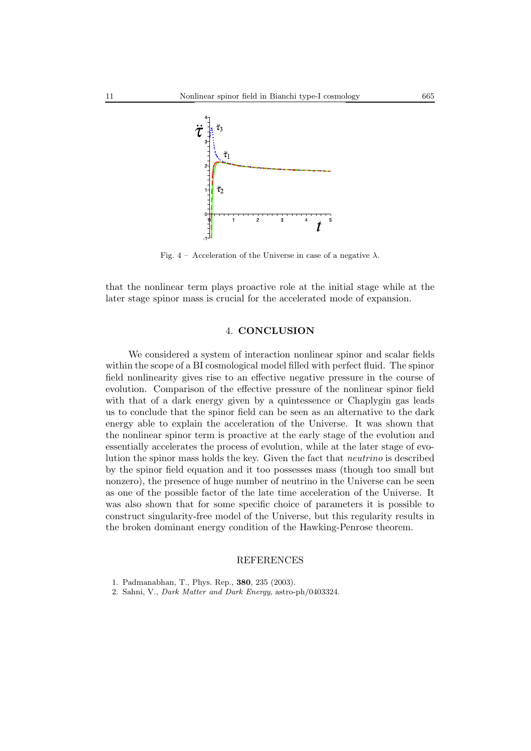

Fig. 4 – Acceleration of the Universe in case of a negative  $\lambda$ .

that the nonlinear term plays proactive role at the initial stage while at the later stage spinor mass is crucial for the accelerated mode of expansion.

## 4. **CONCLUSION**

We considered a system of interaction nonlinear spinor and scalar fields within the scope of a BI cosmological model filled with perfect fluid. The spinor field nonlinearity gives rise to an effective negative pressure in the course of evolution. Comparison of the effective pressure of the nonlinear spinor field with that of a dark energy given by a quintessence or Chaplygin gas leads us to conclude that the spinor field can be seen as an alternative to the dark energy able to explain the acceleration of the Universe. It was shown that the nonlinear spinor term is proactive at the early stage of the evolution and essentially accelerates the process of evolution, while at the later stage of evolution the spinor mass holds the key. Given the fact that *neutrino* is described by the spinor field equation and it too possesses mass (though too small but nonzero), the presence of huge number of neutrino in the Universe can be seen as one of the possible factor of the late time acceleration of the Universe. It was also shown that for some specific choice of parameters it is possible to construct singularity-free model of the Universe, but this regularity results in the broken dominant energy condition of the Hawking-Penrose theorem.

#### REFERENCES

2. Sahni, V., *Dark Matter and Dark Energy*, astro-ph/0403324.

<sup>1.</sup> Padmanabhan, T., Phys. Rep., **380**, 235 (2003).